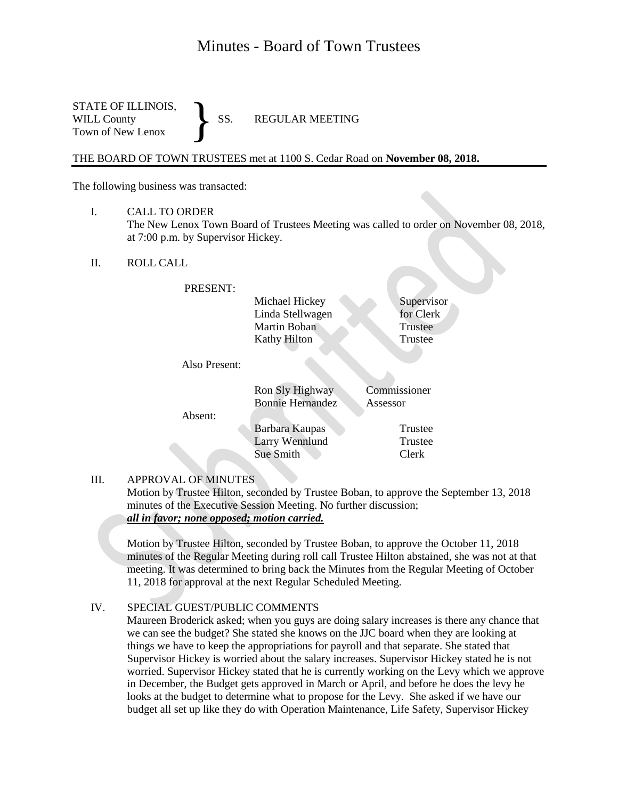# Minutes - Board of Town Trustees

STATE OF ILLINOIS, WILL County SS. REGULAR MEETING Town of New Lenox }

THE BOARD OF TOWN TRUSTEES met at 1100 S. Cedar Road on **November 08, 2018.**

The following business was transacted:

I. CALL TO ORDER

The New Lenox Town Board of Trustees Meeting was called to order on November 08, 2018, at 7:00 p.m. by Supervisor Hickey.

II. ROLL CALL

PRESENT:

Michael Hickey Supervisor Linda Stellwagen for Clerk Martin Boban Trustee Kathy Hilton Trustee

Also Present:

|         | Ron Sly Highway<br><b>Bonnie Hernandez</b> | Commissioner<br>Assessor |
|---------|--------------------------------------------|--------------------------|
| Absent: |                                            |                          |
|         | Barbara Kaupas                             | Trustee                  |
|         | <b>Larry Wennlund</b>                      | Trustee                  |
|         | Sue Smith                                  | Clerk                    |

#### III. APPROVAL OF MINUTES

Motion by Trustee Hilton, seconded by Trustee Boban, to approve the September 13, 2018 minutes of the Executive Session Meeting. No further discussion; *all in favor; none opposed; motion carried.*

Motion by Trustee Hilton, seconded by Trustee Boban, to approve the October 11, 2018 minutes of the Regular Meeting during roll call Trustee Hilton abstained, she was not at that meeting. It was determined to bring back the Minutes from the Regular Meeting of October 11, 2018 for approval at the next Regular Scheduled Meeting.

#### IV. SPECIAL GUEST/PUBLIC COMMENTS

Maureen Broderick asked; when you guys are doing salary increases is there any chance that we can see the budget? She stated she knows on the JJC board when they are looking at things we have to keep the appropriations for payroll and that separate. She stated that Supervisor Hickey is worried about the salary increases. Supervisor Hickey stated he is not worried. Supervisor Hickey stated that he is currently working on the Levy which we approve in December, the Budget gets approved in March or April, and before he does the levy he looks at the budget to determine what to propose for the Levy. She asked if we have our budget all set up like they do with Operation Maintenance, Life Safety, Supervisor Hickey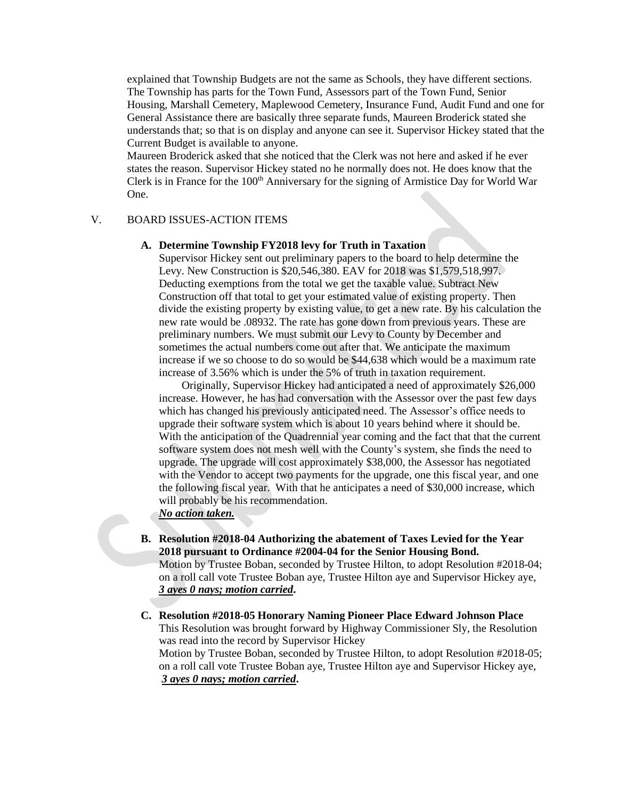explained that Township Budgets are not the same as Schools, they have different sections. The Township has parts for the Town Fund, Assessors part of the Town Fund, Senior Housing, Marshall Cemetery, Maplewood Cemetery, Insurance Fund, Audit Fund and one for General Assistance there are basically three separate funds, Maureen Broderick stated she understands that; so that is on display and anyone can see it. Supervisor Hickey stated that the Current Budget is available to anyone.

Maureen Broderick asked that she noticed that the Clerk was not here and asked if he ever states the reason. Supervisor Hickey stated no he normally does not. He does know that the Clerk is in France for the 100<sup>th</sup> Anniversary for the signing of Armistice Day for World War One.

#### V. BOARD ISSUES-ACTION ITEMS

#### **A. Determine Township FY2018 levy for Truth in Taxation**

Supervisor Hickey sent out preliminary papers to the board to help determine the Levy. New Construction is \$20,546,380. EAV for 2018 was \$1,579,518,997. Deducting exemptions from the total we get the taxable value. Subtract New Construction off that total to get your estimated value of existing property. Then divide the existing property by existing value, to get a new rate. By his calculation the new rate would be .08932. The rate has gone down from previous years. These are preliminary numbers. We must submit our Levy to County by December and sometimes the actual numbers come out after that. We anticipate the maximum increase if we so choose to do so would be \$44,638 which would be a maximum rate increase of 3.56% which is under the 5% of truth in taxation requirement.

Originally, Supervisor Hickey had anticipated a need of approximately \$26,000 increase. However, he has had conversation with the Assessor over the past few days which has changed his previously anticipated need. The Assessor's office needs to upgrade their software system which is about 10 years behind where it should be. With the anticipation of the Quadrennial year coming and the fact that that the current software system does not mesh well with the County's system, she finds the need to upgrade. The upgrade will cost approximately \$38,000, the Assessor has negotiated with the Vendor to accept two payments for the upgrade, one this fiscal year, and one the following fiscal year. With that he anticipates a need of \$30,000 increase, which will probably be his recommendation.

# *No action taken.*

- **B. Resolution #2018-04 Authorizing the abatement of Taxes Levied for the Year 2018 pursuant to Ordinance #2004-04 for the Senior Housing Bond.** Motion by Trustee Boban, seconded by Trustee Hilton, to adopt Resolution #2018-04; on a roll call vote Trustee Boban aye, Trustee Hilton aye and Supervisor Hickey aye, *3 ayes 0 nays; motion carried***.**
- **C. Resolution #2018-05 Honorary Naming Pioneer Place Edward Johnson Place** This Resolution was brought forward by Highway Commissioner Sly, the Resolution was read into the record by Supervisor Hickey Motion by Trustee Boban, seconded by Trustee Hilton, to adopt Resolution #2018-05; on a roll call vote Trustee Boban aye, Trustee Hilton aye and Supervisor Hickey aye, *3 ayes 0 nays; motion carried***.**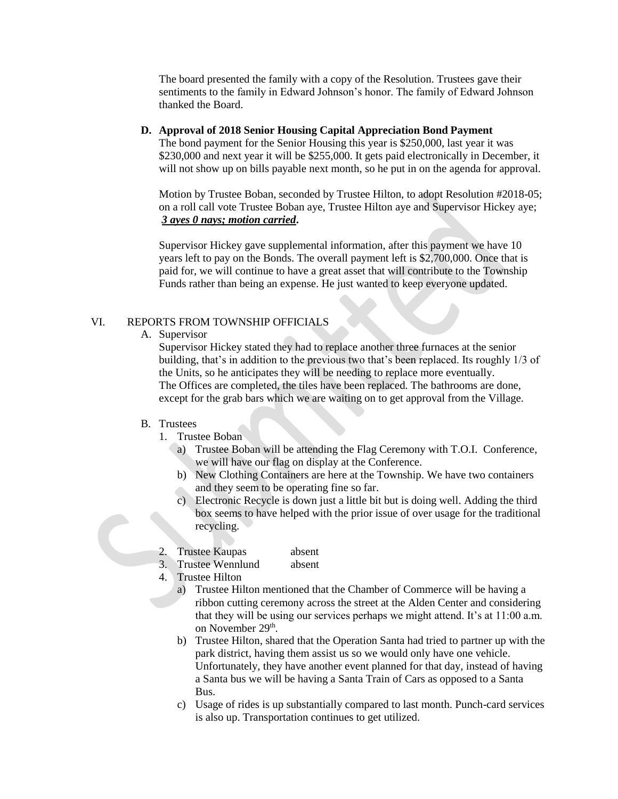The board presented the family with a copy of the Resolution. Trustees gave their sentiments to the family in Edward Johnson's honor. The family of Edward Johnson thanked the Board.

#### **D. Approval of 2018 Senior Housing Capital Appreciation Bond Payment**

The bond payment for the Senior Housing this year is \$250,000, last year it was \$230,000 and next year it will be \$255,000. It gets paid electronically in December, it will not show up on bills payable next month, so he put in on the agenda for approval.

Motion by Trustee Boban, seconded by Trustee Hilton, to adopt Resolution #2018-05; on a roll call vote Trustee Boban aye, Trustee Hilton aye and Supervisor Hickey aye; *3 ayes 0 nays; motion carried***.**

Supervisor Hickey gave supplemental information, after this payment we have 10 years left to pay on the Bonds. The overall payment left is \$2,700,000. Once that is paid for, we will continue to have a great asset that will contribute to the Township Funds rather than being an expense. He just wanted to keep everyone updated.

## VI. REPORTS FROM TOWNSHIP OFFICIALS

A. Supervisor

Supervisor Hickey stated they had to replace another three furnaces at the senior building, that's in addition to the previous two that's been replaced. Its roughly 1/3 of the Units, so he anticipates they will be needing to replace more eventually. The Offices are completed, the tiles have been replaced. The bathrooms are done, except for the grab bars which we are waiting on to get approval from the Village.

#### B. Trustees

- 1. Trustee Boban
	- a) Trustee Boban will be attending the Flag Ceremony with T.O.I. Conference, we will have our flag on display at the Conference.
	- b) New Clothing Containers are here at the Township. We have two containers and they seem to be operating fine so far.
	- c) Electronic Recycle is down just a little bit but is doing well. Adding the third box seems to have helped with the prior issue of over usage for the traditional recycling.

## 2. Trustee Kaupas absent

3. Trustee Wennlund absent

- 4. Trustee Hilton
	- a) Trustee Hilton mentioned that the Chamber of Commerce will be having a ribbon cutting ceremony across the street at the Alden Center and considering that they will be using our services perhaps we might attend. It's at 11:00 a.m. on November 29<sup>th</sup>.
	- b) Trustee Hilton, shared that the Operation Santa had tried to partner up with the park district, having them assist us so we would only have one vehicle. Unfortunately, they have another event planned for that day, instead of having a Santa bus we will be having a Santa Train of Cars as opposed to a Santa Bus.
	- c) Usage of rides is up substantially compared to last month. Punch-card services is also up. Transportation continues to get utilized.